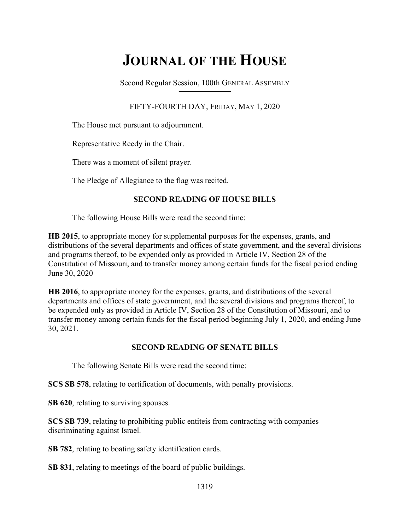# JOURNAL OF THE HOUSE

Second Regular Session, 100th GENERAL ASSEMBLY  $\overline{\phantom{a}}$  , where  $\overline{\phantom{a}}$  , where  $\overline{\phantom{a}}$  , where  $\overline{\phantom{a}}$ 

# FIFTY-FOURTH DAY, FRIDAY, MAY 1, 2020

The House met pursuant to adjournment.

Representative Reedy in the Chair.

There was a moment of silent prayer.

The Pledge of Allegiance to the flag was recited.

# SECOND READING OF HOUSE BILLS

The following House Bills were read the second time:

HB 2015, to appropriate money for supplemental purposes for the expenses, grants, and distributions of the several departments and offices of state government, and the several divisions and programs thereof, to be expended only as provided in Article IV, Section 28 of the Constitution of Missouri, and to transfer money among certain funds for the fiscal period ending June 30, 2020

HB 2016, to appropriate money for the expenses, grants, and distributions of the several departments and offices of state government, and the several divisions and programs thereof, to be expended only as provided in Article IV, Section 28 of the Constitution of Missouri, and to transfer money among certain funds for the fiscal period beginning July 1, 2020, and ending June 30, 2021.

# SECOND READING OF SENATE BILLS

The following Senate Bills were read the second time:

SCS SB 578, relating to certification of documents, with penalty provisions.

SB 620, relating to surviving spouses.

SCS SB 739, relating to prohibiting public entiteis from contracting with companies discriminating against Israel.

SB 782, relating to boating safety identification cards.

SB 831, relating to meetings of the board of public buildings.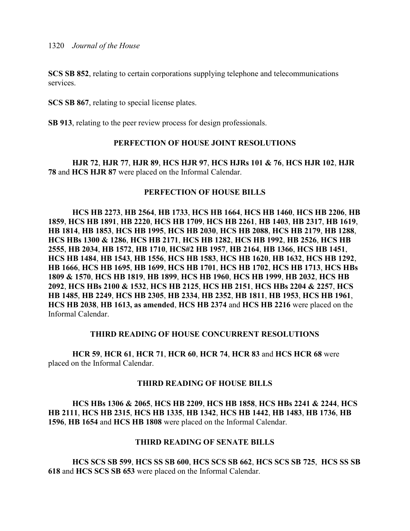SCS SB 852, relating to certain corporations supplying telephone and telecommunications services.

SCS SB 867, relating to special license plates.

SB 913, relating to the peer review process for design professionals.

## PERFECTION OF HOUSE JOINT RESOLUTIONS

HJR 72, HJR 77, HJR 89, HCS HJR 97, HCS HJRs 101 & 76, HCS HJR 102, HJR 78 and HCS HJR 87 were placed on the Informal Calendar.

## PERFECTION OF HOUSE BILLS

HCS HB 2273, HB 2564, HB 1733, HCS HB 1664, HCS HB 1460, HCS HB 2206, HB 1859, HCS HB 1891, HB 2220, HCS HB 1709, HCS HB 2261, HB 1403, HB 2317, HB 1619, HB 1814, HB 1853, HCS HB 1995, HCS HB 2030, HCS HB 2088, HCS HB 2179, HB 1288, HCS HBs 1300 & 1286, HCS HB 2171, HCS HB 1282, HCS HB 1992, HB 2526, HCS HB 2555, HB 2034, HB 1572, HB 1710, HCS#2 HB 1957, HB 2164, HB 1366, HCS HB 1451, HCS HB 1484, HB 1543, HB 1556, HCS HB 1583, HCS HB 1620, HB 1632, HCS HB 1292, HB 1666, HCS HB 1695, HB 1699, HCS HB 1701, HCS HB 1702, HCS HB 1713, HCS HBs 1809 & 1570, HCS HB 1819, HB 1899, HCS HB 1960, HCS HB 1999, HB 2032, HCS HB 2092, HCS HBs 2100 & 1532, HCS HB 2125, HCS HB 2151, HCS HBs 2204 & 2257, HCS HB 1485, HB 2249, HCS HB 2305, HB 2334, HB 2352, HB 1811, HB 1953, HCS HB 1961, HCS HB 2038, HB 1613, as amended, HCS HB 2374 and HCS HB 2216 were placed on the Informal Calendar.

## THIRD READING OF HOUSE CONCURRENT RESOLUTIONS

HCR 59, HCR 61, HCR 71, HCR 60, HCR 74, HCR 83 and HCS HCR 68 were placed on the Informal Calendar.

## THIRD READING OF HOUSE BILLS

HCS HBs 1306 & 2065, HCS HB 2209, HCS HB 1858, HCS HBs 2241 & 2244, HCS HB 2111, HCS HB 2315, HCS HB 1335, HB 1342, HCS HB 1442, HB 1483, HB 1736, HB 1596, HB 1654 and HCS HB 1808 were placed on the Informal Calendar.

## THIRD READING OF SENATE BILLS

HCS SCS SB 599, HCS SS SB 600, HCS SCS SB 662, HCS SCS SB 725, HCS SS SB 618 and HCS SCS SB 653 were placed on the Informal Calendar.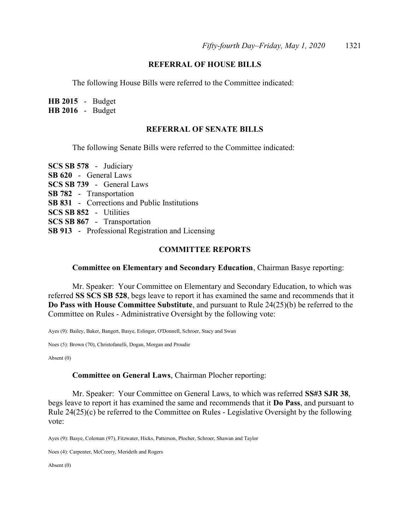#### REFERRAL OF HOUSE BILLS

The following House Bills were referred to the Committee indicated:

HB 2015 - Budget HB 2016 - Budget

#### REFERRAL OF SENATE BILLS

The following Senate Bills were referred to the Committee indicated:

SCS SB 578 - Judiciary SB 620 - General Laws SCS SB 739 - General Laws SB 782 - Transportation SB 831 - Corrections and Public Institutions SCS SB 852 - Utilities SCS SB 867 - Transportation SB 913 - Professional Registration and Licensing

#### COMMITTEE REPORTS

#### Committee on Elementary and Secondary Education, Chairman Basye reporting:

 Mr. Speaker: Your Committee on Elementary and Secondary Education, to which was referred SS SCS SB 528, begs leave to report it has examined the same and recommends that it Do Pass with House Committee Substitute, and pursuant to Rule 24(25)(b) be referred to the Committee on Rules - Administrative Oversight by the following vote:

Ayes (9): Bailey, Baker, Bangert, Basye, Eslinger, O'Donnell, Schroer, Stacy and Swan

Noes (5): Brown (70), Christofanelli, Dogan, Morgan and Proudie

Absent (0)

#### Committee on General Laws, Chairman Plocher reporting:

Mr. Speaker: Your Committee on General Laws, to which was referred SS#3 SJR 38, begs leave to report it has examined the same and recommends that it Do Pass, and pursuant to Rule 24(25)(c) be referred to the Committee on Rules - Legislative Oversight by the following vote:

Ayes (9): Basye, Coleman (97), Fitzwater, Hicks, Patterson, Plocher, Schroer, Shawan and Taylor

Noes (4): Carpenter, McCreery, Merideth and Rogers

Absent (0)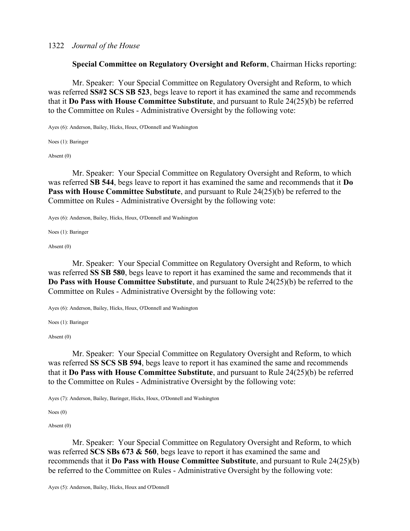#### 1322 Journal of the House

Special Committee on Regulatory Oversight and Reform, Chairman Hicks reporting:

 Mr. Speaker: Your Special Committee on Regulatory Oversight and Reform, to which was referred SS#2 SCS SB 523, begs leave to report it has examined the same and recommends that it Do Pass with House Committee Substitute, and pursuant to Rule 24(25)(b) be referred to the Committee on Rules - Administrative Oversight by the following vote:

Ayes (6): Anderson, Bailey, Hicks, Houx, O'Donnell and Washington

Noes (1): Baringer

Absent (0)

 Mr. Speaker: Your Special Committee on Regulatory Oversight and Reform, to which was referred SB 544, begs leave to report it has examined the same and recommends that it Do Pass with House Committee Substitute, and pursuant to Rule 24(25)(b) be referred to the Committee on Rules - Administrative Oversight by the following vote:

Ayes (6): Anderson, Bailey, Hicks, Houx, O'Donnell and Washington

Noes (1): Baringer

Absent (0)

 Mr. Speaker: Your Special Committee on Regulatory Oversight and Reform, to which was referred SS SB 580, begs leave to report it has examined the same and recommends that it Do Pass with House Committee Substitute, and pursuant to Rule 24(25)(b) be referred to the Committee on Rules - Administrative Oversight by the following vote:

Ayes (6): Anderson, Bailey, Hicks, Houx, O'Donnell and Washington

Noes (1): Baringer

Absent (0)

 Mr. Speaker: Your Special Committee on Regulatory Oversight and Reform, to which was referred SS SCS SB 594, begs leave to report it has examined the same and recommends that it Do Pass with House Committee Substitute, and pursuant to Rule 24(25)(b) be referred to the Committee on Rules - Administrative Oversight by the following vote:

Ayes (7): Anderson, Bailey, Baringer, Hicks, Houx, O'Donnell and Washington

Noes (0)

Absent (0)

 Mr. Speaker: Your Special Committee on Regulatory Oversight and Reform, to which was referred SCS SBs  $673 \& 560$ , begs leave to report it has examined the same and recommends that it Do Pass with House Committee Substitute, and pursuant to Rule 24(25)(b) be referred to the Committee on Rules - Administrative Oversight by the following vote: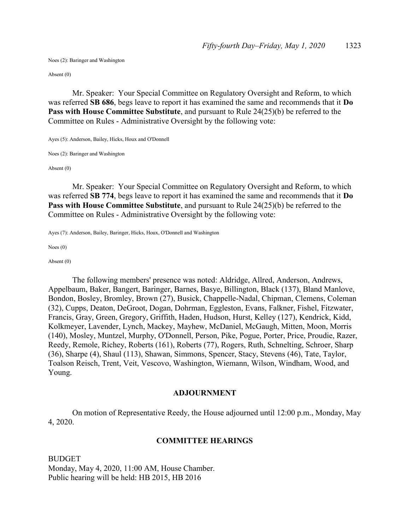Noes (2): Baringer and Washington

Absent (0)

 Mr. Speaker: Your Special Committee on Regulatory Oversight and Reform, to which was referred SB 686, begs leave to report it has examined the same and recommends that it Do Pass with House Committee Substitute, and pursuant to Rule 24(25)(b) be referred to the Committee on Rules - Administrative Oversight by the following vote:

Ayes (5): Anderson, Bailey, Hicks, Houx and O'Donnell

Noes (2): Baringer and Washington

Absent (0)

 Mr. Speaker: Your Special Committee on Regulatory Oversight and Reform, to which was referred SB 774, begs leave to report it has examined the same and recommends that it Do Pass with House Committee Substitute, and pursuant to Rule 24(25)(b) be referred to the Committee on Rules - Administrative Oversight by the following vote:

Ayes (7): Anderson, Bailey, Baringer, Hicks, Houx, O'Donnell and Washington

Noes (0)

Absent (0)

 The following members' presence was noted: Aldridge, Allred, Anderson, Andrews, Appelbaum, Baker, Bangert, Baringer, Barnes, Basye, Billington, Black (137), Bland Manlove, Bondon, Bosley, Bromley, Brown (27), Busick, Chappelle-Nadal, Chipman, Clemens, Coleman (32), Cupps, Deaton, DeGroot, Dogan, Dohrman, Eggleston, Evans, Falkner, Fishel, Fitzwater, Francis, Gray, Green, Gregory, Griffith, Haden, Hudson, Hurst, Kelley (127), Kendrick, Kidd, Kolkmeyer, Lavender, Lynch, Mackey, Mayhew, McDaniel, McGaugh, Mitten, Moon, Morris (140), Mosley, Muntzel, Murphy, O'Donnell, Person, Pike, Pogue, Porter, Price, Proudie, Razer, Reedy, Remole, Richey, Roberts (161), Roberts (77), Rogers, Ruth, Schnelting, Schroer, Sharp (36), Sharpe (4), Shaul (113), Shawan, Simmons, Spencer, Stacy, Stevens (46), Tate, Taylor, Toalson Reisch, Trent, Veit, Vescovo, Washington, Wiemann, Wilson, Windham, Wood, and Young.

#### ADJOURNMENT

 On motion of Representative Reedy, the House adjourned until 12:00 p.m., Monday, May 4, 2020.

#### COMMITTEE HEARINGS

**BUDGET** Monday, May 4, 2020, 11:00 AM, House Chamber. Public hearing will be held: HB 2015, HB 2016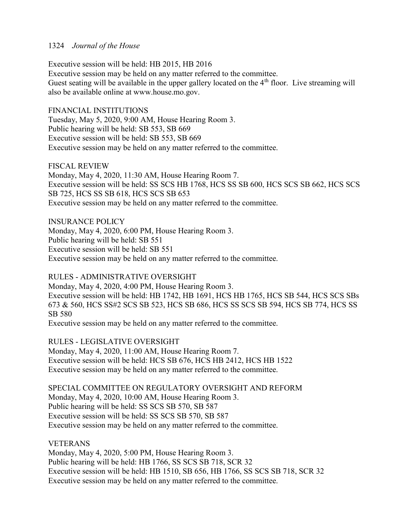## 1324 Journal of the House

Executive session will be held: HB 2015, HB 2016 Executive session may be held on any matter referred to the committee. Guest seating will be available in the upper gallery located on the 4<sup>th</sup> floor. Live streaming will also be available online at www.house.mo.gov.

FINANCIAL INSTITUTIONS Tuesday, May 5, 2020, 9:00 AM, House Hearing Room 3. Public hearing will be held: SB 553, SB 669 Executive session will be held: SB 553, SB 669 Executive session may be held on any matter referred to the committee.

FISCAL REVIEW Monday, May 4, 2020, 11:30 AM, House Hearing Room 7. Executive session will be held: SS SCS HB 1768, HCS SS SB 600, HCS SCS SB 662, HCS SCS SB 725, HCS SS SB 618, HCS SCS SB 653 Executive session may be held on any matter referred to the committee.

INSURANCE POLICY Monday, May 4, 2020, 6:00 PM, House Hearing Room 3. Public hearing will be held: SB 551 Executive session will be held: SB 551 Executive session may be held on any matter referred to the committee.

RULES - ADMINISTRATIVE OVERSIGHT Monday, May 4, 2020, 4:00 PM, House Hearing Room 3. Executive session will be held: HB 1742, HB 1691, HCS HB 1765, HCS SB 544, HCS SCS SBs 673 & 560, HCS SS#2 SCS SB 523, HCS SB 686, HCS SS SCS SB 594, HCS SB 774, HCS SS SB 580 Executive session may be held on any matter referred to the committee.

RULES - LEGISLATIVE OVERSIGHT Monday, May 4, 2020, 11:00 AM, House Hearing Room 7. Executive session will be held: HCS SB 676, HCS HB 2412, HCS HB 1522 Executive session may be held on any matter referred to the committee.

SPECIAL COMMITTEE ON REGULATORY OVERSIGHT AND REFORM Monday, May 4, 2020, 10:00 AM, House Hearing Room 3. Public hearing will be held: SS SCS SB 570, SB 587 Executive session will be held: SS SCS SB 570, SB 587 Executive session may be held on any matter referred to the committee.

#### VETERANS

Monday, May 4, 2020, 5:00 PM, House Hearing Room 3. Public hearing will be held: HB 1766, SS SCS SB 718, SCR 32 Executive session will be held: HB 1510, SB 656, HB 1766, SS SCS SB 718, SCR 32 Executive session may be held on any matter referred to the committee.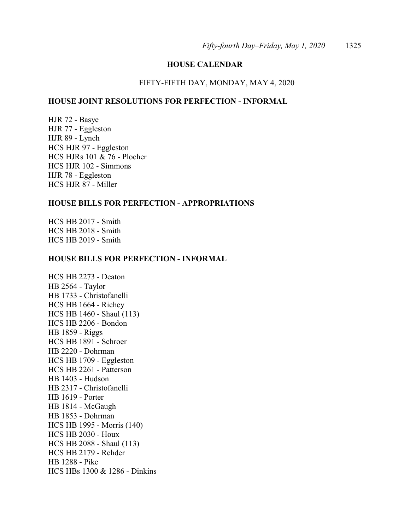#### HOUSE CALENDAR

#### FIFTY-FIFTH DAY, MONDAY, MAY 4, 2020

### HOUSE JOINT RESOLUTIONS FOR PERFECTION - INFORMAL

HJR 72 - Basye HJR 77 - Eggleston HJR 89 - Lynch HCS HJR 97 - Eggleston HCS HJRs 101 & 76 - Plocher HCS HJR 102 - Simmons HJR 78 - Eggleston HCS HJR 87 - Miller

## HOUSE BILLS FOR PERFECTION - APPROPRIATIONS

HCS HB 2017 - Smith HCS HB 2018 - Smith HCS HB 2019 - Smith

#### HOUSE BILLS FOR PERFECTION - INFORMAL

HCS HB 2273 - Deaton HB 2564 - Taylor HB 1733 - Christofanelli HCS HB 1664 - Richey HCS HB 1460 - Shaul (113) HCS HB 2206 - Bondon HB 1859 - Riggs HCS HB 1891 - Schroer HB 2220 - Dohrman HCS HB 1709 - Eggleston HCS HB 2261 - Patterson HB 1403 - Hudson HB 2317 - Christofanelli HB 1619 - Porter HB 1814 - McGaugh HB 1853 - Dohrman HCS HB 1995 - Morris (140) HCS HB 2030 - Houx HCS HB 2088 - Shaul (113) HCS HB 2179 - Rehder HB 1288 - Pike HCS HBs 1300 & 1286 - Dinkins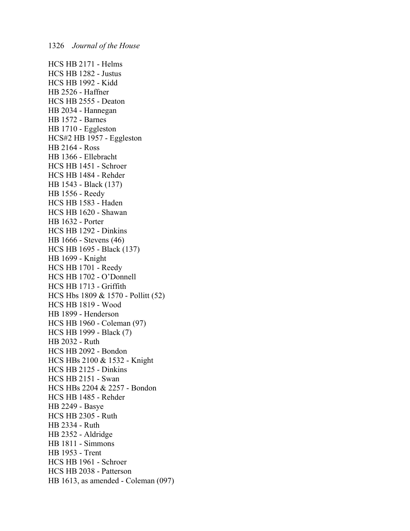HCS HB 2171 - Helms HCS HB 1282 - Justus HCS HB 1992 - Kidd HB 2526 - Haffner HCS HB 2555 - Deaton HB 2034 - Hannegan HB 1572 - Barnes HB 1710 - Eggleston HCS#2 HB 1957 - Eggleston HB 2164 - Ross HB 1366 - Ellebracht HCS HB 1451 - Schroer HCS HB 1484 - Rehder HB 1543 - Black (137) HB 1556 - Reedy HCS HB 1583 - Haden HCS HB 1620 - Shawan HB 1632 - Porter HCS HB 1292 - Dinkins HB 1666 - Stevens (46) HCS HB 1695 - Black (137) HB 1699 - Knight HCS HB 1701 - Reedy HCS HB 1702 - O'Donnell HCS HB 1713 - Griffith HCS Hbs 1809 & 1570 - Pollitt (52) HCS HB 1819 - Wood HB 1899 - Henderson HCS HB 1960 - Coleman (97) HCS HB 1999 - Black (7) HB 2032 - Ruth HCS HB 2092 - Bondon HCS HBs 2100 & 1532 - Knight HCS HB 2125 - Dinkins HCS HB 2151 - Swan HCS HBs 2204 & 2257 - Bondon HCS HB 1485 - Rehder HB 2249 - Basye HCS HB 2305 - Ruth HB 2334 - Ruth HB 2352 - Aldridge HB 1811 - Simmons HB 1953 - Trent HCS HB 1961 - Schroer HCS HB 2038 - Patterson HB 1613, as amended - Coleman (097)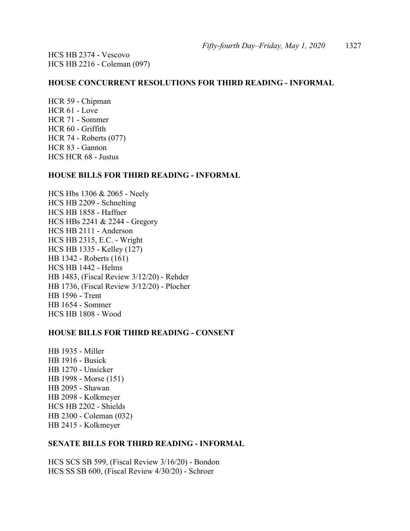HCS HB 2374 - Vescovo HCS HB 2216 - Coleman (097)

#### HOUSE CONCURRENT RESOLUTIONS FOR THIRD READING - INFORMAL

HCR 59 - Chipman HCR 61 - Love HCR 71 - Sommer HCR 60 - Griffith HCR 74 - Roberts (077) HCR 83 - Gannon HCS HCR 68 - Justus

#### HOUSE BILLS FOR THIRD READING - INFORMAL

HCS Hbs 1306 & 2065 - Neely HCS HB 2209 - Schnelting HCS HB 1858 - Haffner HCS HBs 2241 & 2244 - Gregory HCS HB 2111 - Anderson HCS HB 2315, E.C. - Wright HCS HB 1335 - Kelley (127) HB 1342 - Roberts (161) HCS HB 1442 - Helms HB 1483, (Fiscal Review 3/12/20) - Rehder HB 1736, (Fiscal Review 3/12/20) - Plocher HB 1596 - Trent HB 1654 - Sommer HCS HB 1808 - Wood

#### HOUSE BILLS FOR THIRD READING - CONSENT

HB 1935 - Miller HB 1916 - Busick HB 1270 - Unsicker HB 1998 - Morse (151) HB 2095 - Shawan HB 2098 - Kolkmeyer HCS HB 2202 - Shields HB 2300 - Coleman (032) HB 2415 - Kolkmeyer

#### SENATE BILLS FOR THIRD READING - INFORMAL

HCS SCS SB 599, (Fiscal Review 3/16/20) - Bondon HCS SS SB 600, (Fiscal Review 4/30/20) - Schroer